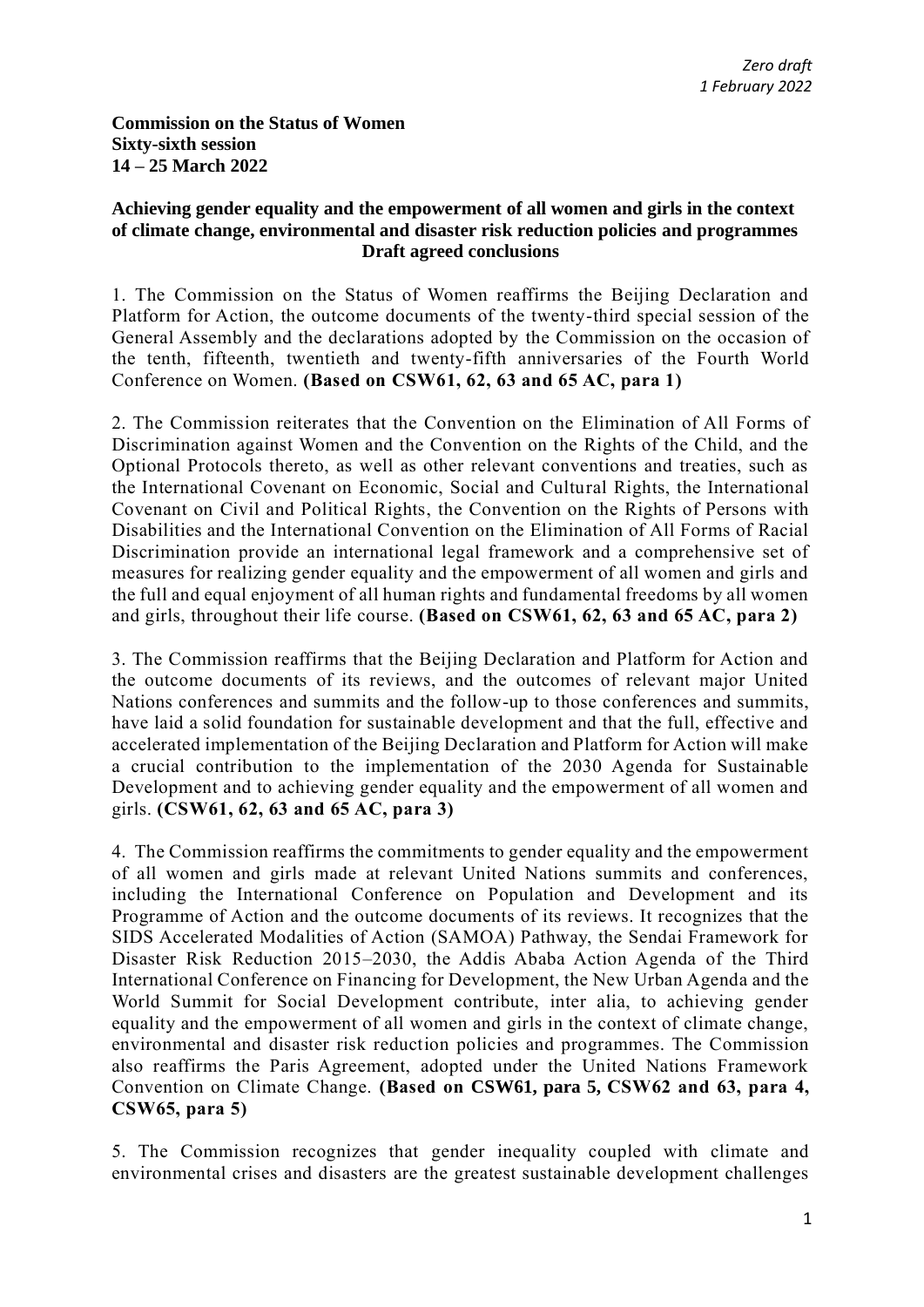**Commission on the Status of Women Sixty-sixth session 14 – 25 March 2022** 

## **Achieving gender equality and the empowerment of all women and girls in the context of climate change, environmental and disaster risk reduction policies and programmes Draft agreed conclusions**

1. The Commission on the Status of Women reaffirms the Beijing Declaration and Platform for Action, the outcome documents of the twenty-third special session of the General Assembly and the declarations adopted by the Commission on the occasion of the tenth, fifteenth, twentieth and twenty-fifth anniversaries of the Fourth World Conference on Women. **(Based on CSW61, 62, 63 and 65 AC, para 1)**

2. The Commission reiterates that the Convention on the Elimination of All Forms of Discrimination against Women and the Convention on the Rights of the Child, and the Optional Protocols thereto, as well as other relevant conventions and treaties, such as the International Covenant on Economic, Social and Cultural Rights, the International Covenant on Civil and Political Rights, the Convention on the Rights of Persons with Disabilities and the International Convention on the Elimination of All Forms of Racial Discrimination provide an international legal framework and a comprehensive set of measures for realizing gender equality and the empowerment of all women and girls and the full and equal enjoyment of all human rights and fundamental freedoms by all women and girls, throughout their life course. **(Based on CSW61, 62, 63 and 65 AC, para 2)**

3. The Commission reaffirms that the Beijing Declaration and Platform for Action and the outcome documents of its reviews, and the outcomes of relevant major United Nations conferences and summits and the follow-up to those conferences and summits, have laid a solid foundation for sustainable development and that the full, effective and accelerated implementation of the Beijing Declaration and Platform for Action will make a crucial contribution to the implementation of the 2030 Agenda for Sustainable Development and to achieving gender equality and the empowerment of all women and girls. **(CSW61, 62, 63 and 65 AC, para 3)**

4. The Commission reaffirms the commitments to gender equality and the empowerment of all women and girls made at relevant United Nations summits and conferences, including the International Conference on Population and Development and its Programme of Action and the outcome documents of its reviews. It recognizes that the SIDS Accelerated Modalities of Action (SAMOA) Pathway, the Sendai Framework for Disaster Risk Reduction 2015–2030, the Addis Ababa Action Agenda of the Third International Conference on Financing for Development, the New Urban Agenda and the World Summit for Social Development contribute, inter alia, to achieving gender equality and the empowerment of all women and girls in the context of climate change, environmental and disaster risk reduction policies and programmes. The Commission also reaffirms the Paris Agreement, adopted under the United Nations Framework Convention on Climate Change. **(Based on CSW61, para 5, CSW62 and 63, para 4, CSW65, para 5)**

5. The Commission recognizes that gender inequality coupled with climate and environmental crises and disasters are the greatest sustainable development challenges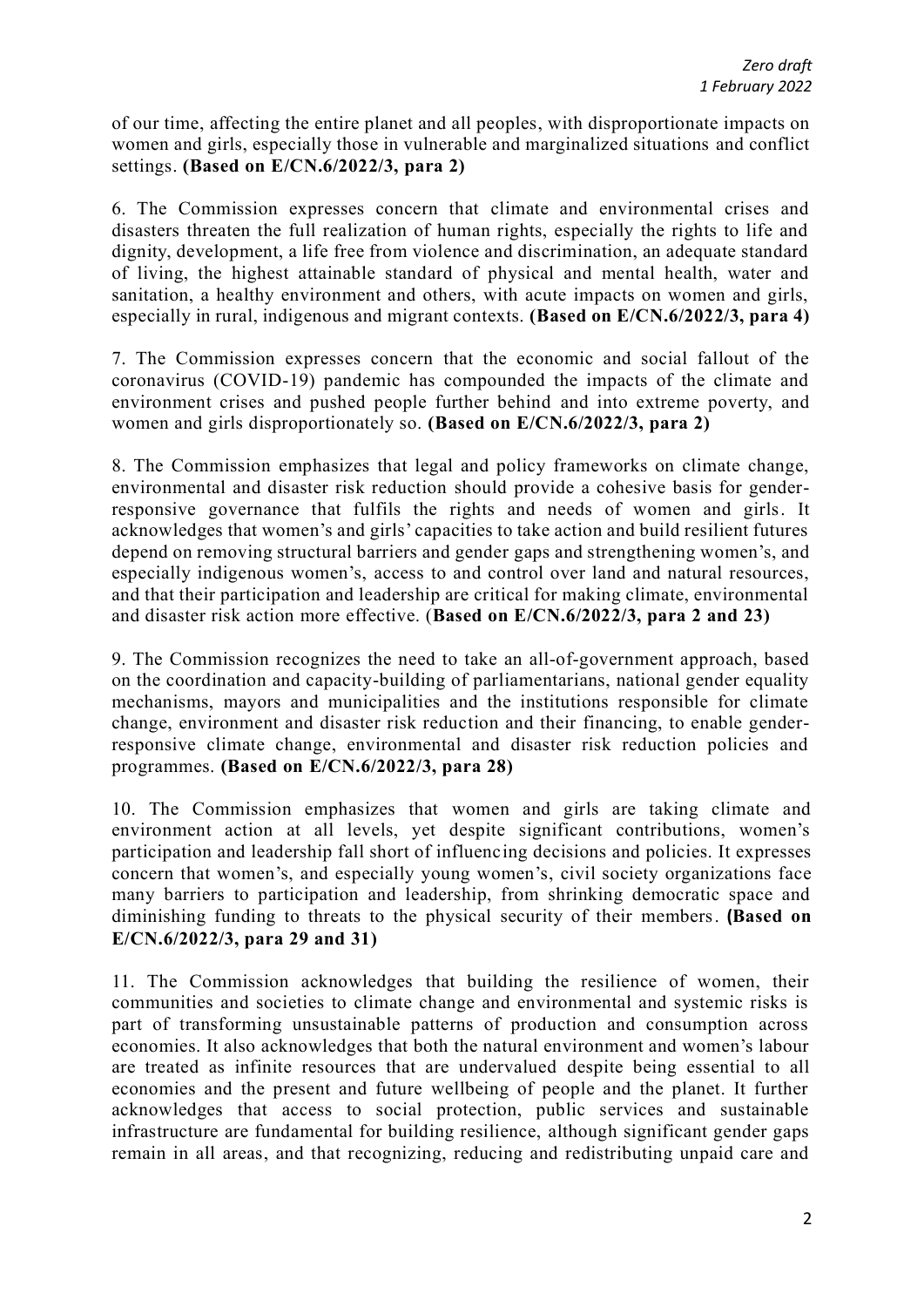of our time, affecting the entire planet and all peoples, with disproportionate impacts on women and girls, especially those in vulnerable and marginalized situations and conflict settings. **(Based on E/CN.6/2022/3, para 2)**

6. The Commission expresses concern that climate and environmental crises and disasters threaten the full realization of human rights, especially the rights to life and dignity, development, a life free from violence and discrimination, an adequate standard of living, the highest attainable standard of physical and mental health, water and sanitation, a healthy environment and others, with acute impacts on women and girls, especially in rural, indigenous and migrant contexts. **(Based on E/CN.6/2022/3, para 4)** 

7. The Commission expresses concern that the economic and social fallout of the coronavirus (COVID-19) pandemic has compounded the impacts of the climate and environment crises and pushed people further behind and into extreme poverty, and women and girls disproportionately so. **(Based on E/CN.6/2022/3, para 2)**

8. The Commission emphasizes that legal and policy frameworks on climate change, environmental and disaster risk reduction should provide a cohesive basis for genderresponsive governance that fulfils the rights and needs of women and girls. It acknowledges that women's and girls' capacities to take action and build resilient futures depend on removing structural barriers and gender gaps and strengthening women's, and especially indigenous women's, access to and control over land and natural resources, and that their participation and leadership are critical for making climate, environmental and disaster risk action more effective. (**Based on E/CN.6/2022/3, para 2 and 23)**

9. The Commission recognizes the need to take an all-of-government approach, based on the coordination and capacity-building of parliamentarians, national gender equality mechanisms, mayors and municipalities and the institutions responsible for climate change, environment and disaster risk reduction and their financing, to enable genderresponsive climate change, environmental and disaster risk reduction policies and programmes. **(Based on E/CN.6/2022/3, para 28)**

10. The Commission emphasizes that women and girls are taking climate and environment action at all levels, yet despite significant contributions, women's participation and leadership fall short of influencing decisions and policies. It expresses concern that women's, and especially young women's, civil society organizations face many barriers to participation and leadership, from shrinking democratic space and diminishing funding to threats to the physical security of their members. **(Based on E/CN.6/2022/3, para 29 and 31)** 

11. The Commission acknowledges that building the resilience of women, their communities and societies to climate change and environmental and systemic risks is part of transforming unsustainable patterns of production and consumption across economies. It also acknowledges that both the natural environment and women's labour are treated as infinite resources that are undervalued despite being essential to all economies and the present and future wellbeing of people and the planet. It further acknowledges that access to social protection, public services and sustainable infrastructure are fundamental for building resilience, although significant gender gaps remain in all areas, and that recognizing, reducing and redistributing unpaid care and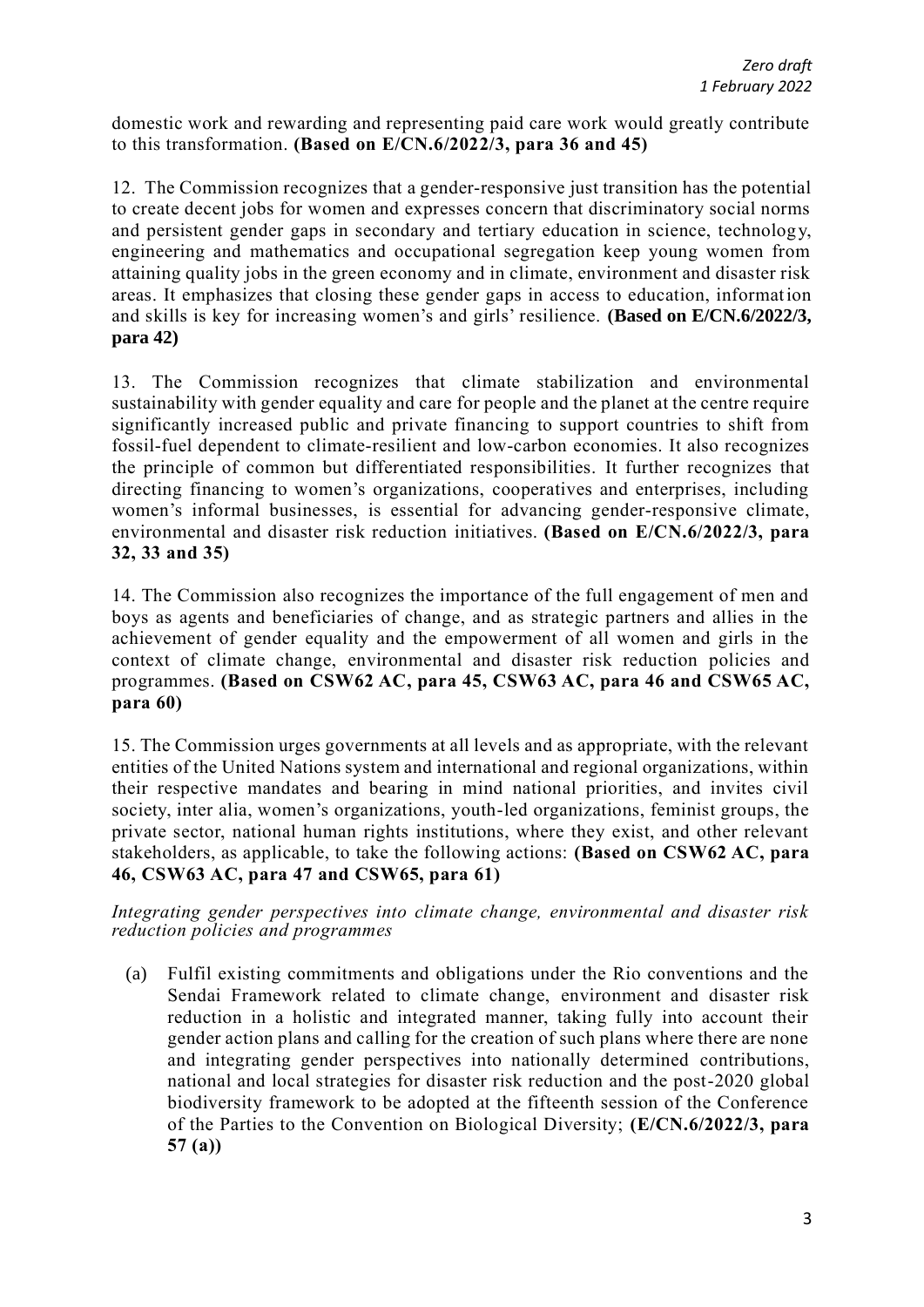domestic work and rewarding and representing paid care work would greatly contribute to this transformation. **(Based on E/CN.6/2022/3, para 36 and 45)**

12. The Commission recognizes that a gender-responsive just transition has the potential to create decent jobs for women and expresses concern that discriminatory social norms and persistent gender gaps in secondary and tertiary education in science, technology, engineering and mathematics and occupational segregation keep young women from attaining quality jobs in the green economy and in climate, environment and disaster risk areas. It emphasizes that closing these gender gaps in access to education, information and skills is key for increasing women's and girls' resilience. **(Based on E/CN.6/2022/3, para 42)**

13. The Commission recognizes that climate stabilization and environmental sustainability with gender equality and care for people and the planet at the centre require significantly increased public and private financing to support countries to shift from fossil-fuel dependent to climate-resilient and low-carbon economies. It also recognizes the principle of common but differentiated responsibilities. It further recognizes that directing financing to women's organizations, cooperatives and enterprises, including women's informal businesses, is essential for advancing gender-responsive climate, environmental and disaster risk reduction initiatives. **(Based on E/CN.6/2022/3, para 32, 33 and 35)**

14. The Commission also recognizes the importance of the full engagement of men and boys as agents and beneficiaries of change, and as strategic partners and allies in the achievement of gender equality and the empowerment of all women and girls in the context of climate change, environmental and disaster risk reduction policies and programmes. **(Based on CSW62 AC, para 45, CSW63 AC, para 46 and CSW65 AC, para 60)**

15. The Commission urges governments at all levels and as appropriate, with the relevant entities of the United Nations system and international and regional organizations, within their respective mandates and bearing in mind national priorities, and invites civil society, inter alia, women's organizations, youth-led organizations, feminist groups, the private sector, national human rights institutions, where they exist, and other relevant stakeholders, as applicable, to take the following actions: **(Based on CSW62 AC, para 46, CSW63 AC, para 47 and CSW65, para 61)**

*Integrating gender perspectives into climate change, environmental and disaster risk reduction policies and programmes*

(a) Fulfil existing commitments and obligations under the Rio conventions and the Sendai Framework related to climate change, environment and disaster risk reduction in a holistic and integrated manner, taking fully into account their gender action plans and calling for the creation of such plans where there are none and integrating gender perspectives into nationally determined contributions, national and local strategies for disaster risk reduction and the post-2020 global biodiversity framework to be adopted at the fifteenth session of the Conference of the Parties to the Convention on Biological Diversity; **(E/CN.6/2022/3, para 57 (a))**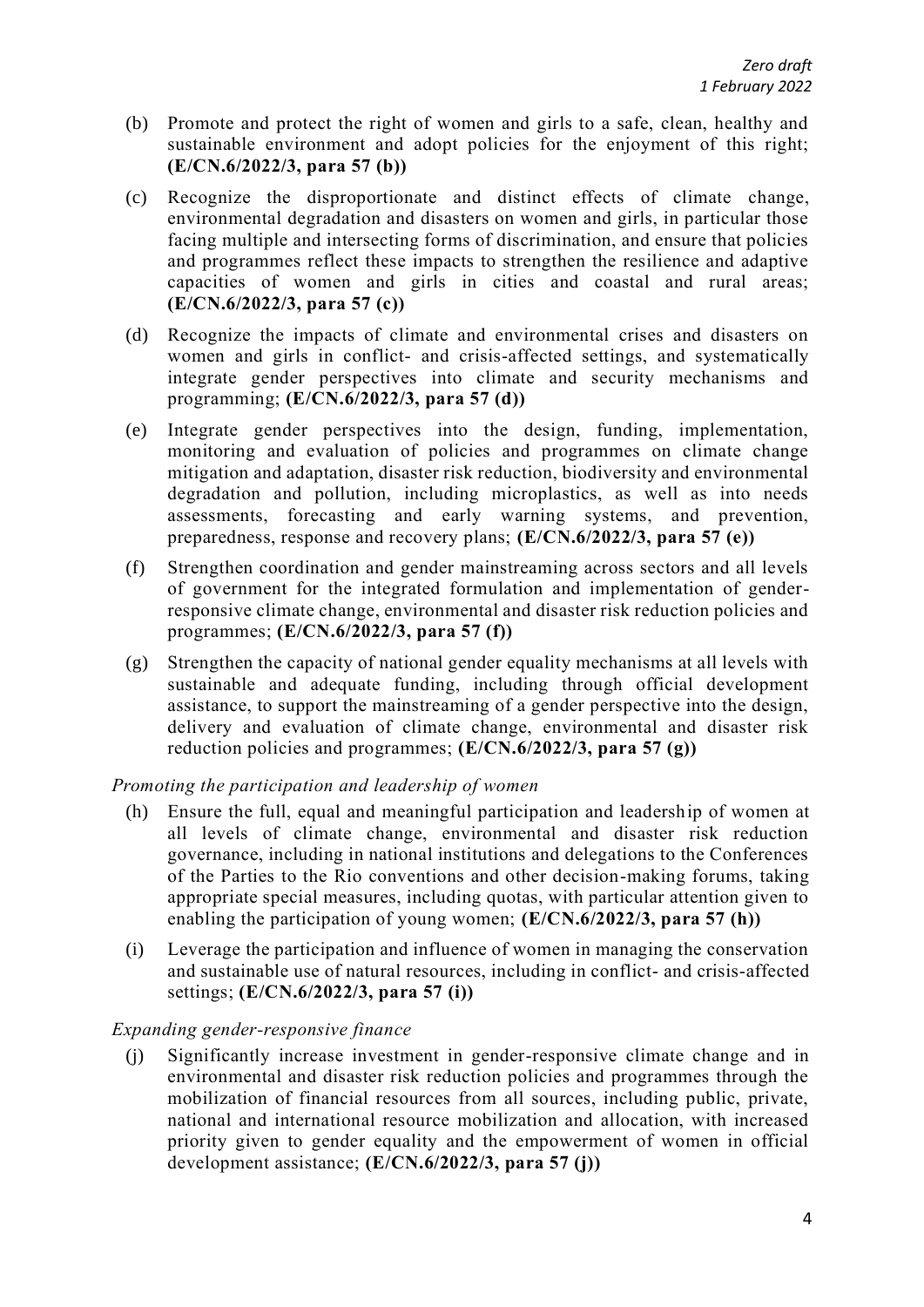- (b) Promote and protect the right of women and girls to a safe, clean, healthy and sustainable environment and adopt policies for the enjoyment of this right; **(E/CN.6/2022/3, para 57 (b))**
- (c) Recognize the disproportionate and distinct effects of climate change, environmental degradation and disasters on women and girls, in particular those facing multiple and intersecting forms of discrimination, and ensure that policies and programmes reflect these impacts to strengthen the resilience and adaptive capacities of women and girls in cities and coastal and rural areas; **(E/CN.6/2022/3, para 57 (c))**
- (d) Recognize the impacts of climate and environmental crises and disasters on women and girls in conflict- and crisis-affected settings, and systematically integrate gender perspectives into climate and security mechanisms and programming; **(E/CN.6/2022/3, para 57 (d))**
- (e) Integrate gender perspectives into the design, funding, implementation, monitoring and evaluation of policies and programmes on climate change mitigation and adaptation, disaster risk reduction, biodiversity and environmental degradation and pollution, including microplastics, as well as into needs assessments, forecasting and early warning systems, and prevention, preparedness, response and recovery plans; **(E/CN.6/2022/3, para 57 (e))**
- (f) Strengthen coordination and gender mainstreaming across sectors and all levels of government for the integrated formulation and implementation of genderresponsive climate change, environmental and disaster risk reduction policies and programmes; **(E/CN.6/2022/3, para 57 (f))**
- (g) Strengthen the capacity of national gender equality mechanisms at all levels with sustainable and adequate funding, including through official development assistance, to support the mainstreaming of a gender perspective into the design, delivery and evaluation of climate change, environmental and disaster risk reduction policies and programmes; **(E/CN.6/2022/3, para 57 (g))**

*Promoting the participation and leadership of women*

- (h) Ensure the full, equal and meaningful participation and leadership of women at all levels of climate change, environmental and disaster risk reduction governance, including in national institutions and delegations to the Conferences of the Parties to the Rio conventions and other decision-making forums, taking appropriate special measures, including quotas, with particular attention given to enabling the participation of young women; **(E/CN.6/2022/3, para 57 (h))**
- (i) Leverage the participation and influence of women in managing the conservation and sustainable use of natural resources, including in conflict- and crisis-affected settings; **(E/CN.6/2022/3, para 57 (i))**

## *Expanding gender-responsive finance*

(j) Significantly increase investment in gender-responsive climate change and in environmental and disaster risk reduction policies and programmes through the mobilization of financial resources from all sources, including public, private, national and international resource mobilization and allocation, with increased priority given to gender equality and the empowerment of women in official development assistance; **(E/CN.6/2022/3, para 57 (j))**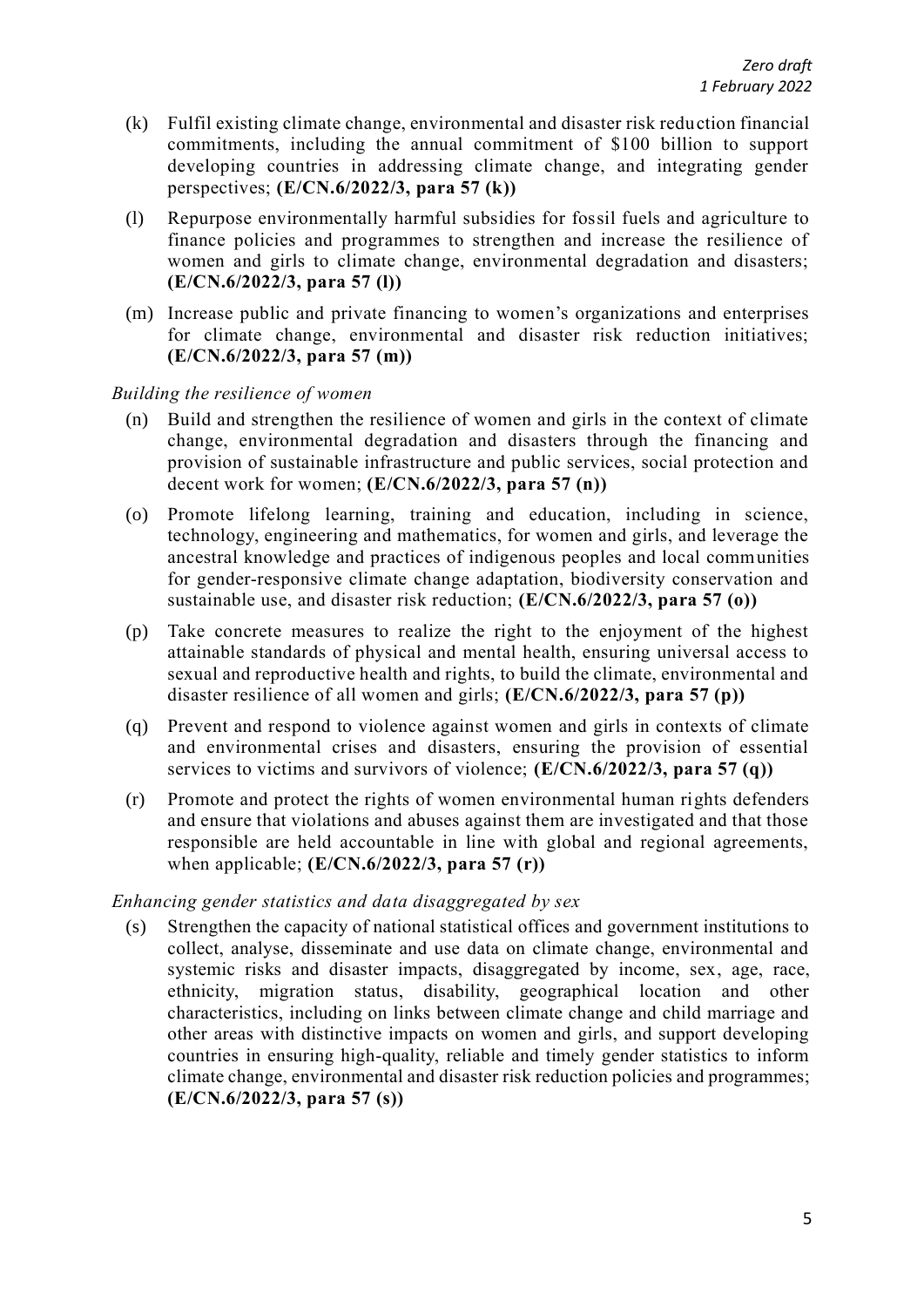- (k) Fulfil existing climate change, environmental and disaster risk reduction financial commitments, including the annual commitment of \$100 billion to support developing countries in addressing climate change, and integrating gender perspectives; **(E/CN.6/2022/3, para 57 (k))**
- (l) Repurpose environmentally harmful subsidies for fossil fuels and agriculture to finance policies and programmes to strengthen and increase the resilience of women and girls to climate change, environmental degradation and disasters; **(E/CN.6/2022/3, para 57 (l))**
- (m) Increase public and private financing to women's organizations and enterprises for climate change, environmental and disaster risk reduction initiatives; **(E/CN.6/2022/3, para 57 (m))**

*Building the resilience of women*

- (n) Build and strengthen the resilience of women and girls in the context of climate change, environmental degradation and disasters through the financing and provision of sustainable infrastructure and public services, social protection and decent work for women; **(E/CN.6/2022/3, para 57 (n))**
- (o) Promote lifelong learning, training and education, including in science, technology, engineering and mathematics, for women and girls, and leverage the ancestral knowledge and practices of indigenous peoples and local communities for gender-responsive climate change adaptation, biodiversity conservation and sustainable use, and disaster risk reduction; **(E/CN.6/2022/3, para 57 (o))**
- (p) Take concrete measures to realize the right to the enjoyment of the highest attainable standards of physical and mental health, ensuring universal access to sexual and reproductive health and rights, to build the climate, environmental and disaster resilience of all women and girls; **(E/CN.6/2022/3, para 57 (p))**
- (q) Prevent and respond to violence against women and girls in contexts of climate and environmental crises and disasters, ensuring the provision of essential services to victims and survivors of violence; **(E/CN.6/2022/3, para 57 (q))**
- (r) Promote and protect the rights of women environmental human rights defenders and ensure that violations and abuses against them are investigated and that those responsible are held accountable in line with global and regional agreements, when applicable; **(E/CN.6/2022/3, para 57 (r))**

## *Enhancing gender statistics and data disaggregated by sex*

(s) Strengthen the capacity of national statistical offices and government institutions to collect, analyse, disseminate and use data on climate change, environmental and systemic risks and disaster impacts, disaggregated by income, sex, age, race, ethnicity, migration status, disability, geographical location and other characteristics, including on links between climate change and child marriage and other areas with distinctive impacts on women and girls, and support developing countries in ensuring high-quality, reliable and timely gender statistics to inform climate change, environmental and disaster risk reduction policies and programmes; **(E/CN.6/2022/3, para 57 (s))**